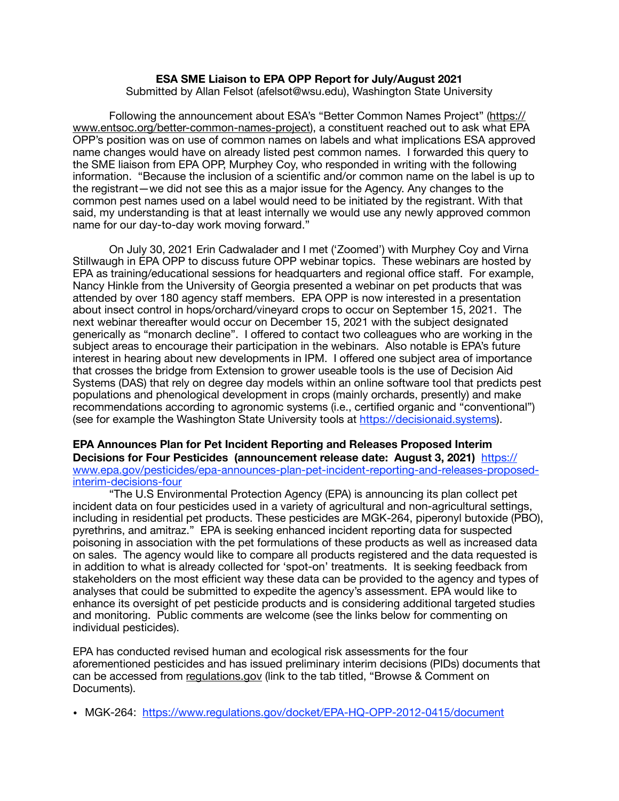## **ESA SME Liaison to EPA OPP Report for July/August 2021**

Submitted by Allan Felsot (afelsot@wsu.edu), Washington State University

Following the announcement about ESA's "Better Common Names Project" ([https://](https://www.entsoc.org/better-common-names-project) [www.entsoc.org/better-common-names-project\)](https://www.entsoc.org/better-common-names-project), a constituent reached out to ask what EPA OPP's position was on use of common names on labels and what implications ESA approved name changes would have on already listed pest common names. I forwarded this query to the SME liaison from EPA OPP, Murphey Coy, who responded in writing with the following information. "Because the inclusion of a scientific and/or common name on the label is up to the registrant—we did not see this as a major issue for the Agency. Any changes to the common pest names used on a label would need to be initiated by the registrant. With that said, my understanding is that at least internally we would use any newly approved common name for our day-to-day work moving forward."

On July 30, 2021 Erin Cadwalader and I met ('Zoomed') with Murphey Coy and Virna Stillwaugh in EPA OPP to discuss future OPP webinar topics. These webinars are hosted by EPA as training/educational sessions for headquarters and regional office staff. For example, Nancy Hinkle from the University of Georgia presented a webinar on pet products that was attended by over 180 agency staff members. EPA OPP is now interested in a presentation about insect control in hops/orchard/vineyard crops to occur on September 15, 2021. The next webinar thereafter would occur on December 15, 2021 with the subject designated generically as "monarch decline". I offered to contact two colleagues who are working in the subject areas to encourage their participation in the webinars. Also notable is EPA's future interest in hearing about new developments in IPM. I offered one subject area of importance that crosses the bridge from Extension to grower useable tools is the use of Decision Aid Systems (DAS) that rely on degree day models within an online software tool that predicts pest populations and phenological development in crops (mainly orchards, presently) and make recommendations according to agronomic systems (i.e., certified organic and "conventional") (see for example the Washington State University tools at <https://decisionaid.systems>).

## **EPA Announces Plan for Pet Incident Reporting and Releases Proposed Interim Decisions for Four Pesticides (announcement release date: August 3, 2021)** [https://](https://www.epa.gov/pesticides/epa-announces-plan-pet-incident-reporting-and-releases-proposed-interim-decisions-four) [www.epa.gov/pesticides/epa-announces-plan-pet-incident-reporting-and-releases-proposed](https://www.epa.gov/pesticides/epa-announces-plan-pet-incident-reporting-and-releases-proposed-interim-decisions-four)[interim-decisions-four](https://www.epa.gov/pesticides/epa-announces-plan-pet-incident-reporting-and-releases-proposed-interim-decisions-four)

"The U.S Environmental Protection Agency (EPA) is announcing its plan collect pet incident data on four pesticides used in a variety of agricultural and non-agricultural settings, including in residential pet products. These pesticides are MGK-264, piperonyl butoxide (PBO), pyrethrins, and amitraz." EPA is seeking enhanced incident reporting data for suspected poisoning in association with the pet formulations of these products as well as increased data on sales. The agency would like to compare all products registered and the data requested is in addition to what is already collected for 'spot-on' treatments. It is seeking feedback from stakeholders on the most efficient way these data can be provided to the agency and types of analyses that could be submitted to expedite the agency's assessment. EPA would like to enhance its oversight of pet pesticide products and is considering additional targeted studies and monitoring. Public comments are welcome (see the links below for commenting on individual pesticides).

EPA has conducted revised human and ecological risk assessments for the four aforementioned pesticides and has issued preliminary interim decisions (PIDs) documents that can be accessed from [regulations.gov](http://regulations.gov) (link to the tab titled, "Browse & Comment on Documents).

• MGK-264: <https://www.regulations.gov/docket/EPA-HQ-OPP-2012-0415/document>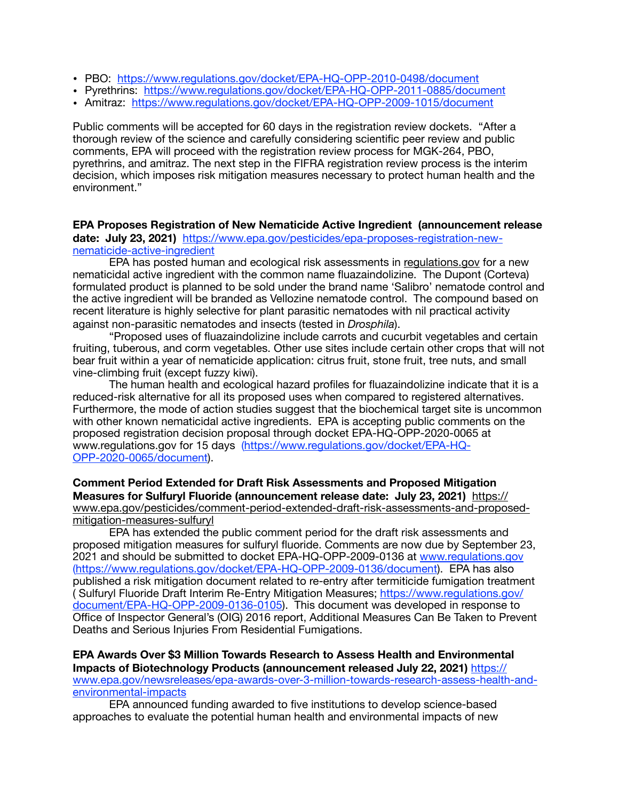- PBO: <https://www.regulations.gov/docket/EPA-HQ-OPP-2010-0498/document>
- Pyrethrins: <https://www.regulations.gov/docket/EPA-HQ-OPP-2011-0885/document>
- Amitraz: <https://www.regulations.gov/docket/EPA-HQ-OPP-2009-1015/document>

Public comments will be accepted for 60 days in the registration review dockets. "After a thorough review of the science and carefully considering scientific peer review and public comments, EPA will proceed with the registration review process for MGK-264, PBO, pyrethrins, and amitraz. The next step in the FIFRA registration review process is the interim decision, which imposes risk mitigation measures necessary to protect human health and the environment."

**EPA Proposes Registration of New Nematicide Active Ingredient (announcement release date: July 23, 2021)** [https://www.epa.gov/pesticides/epa-proposes-registration-new](https://www.epa.gov/pesticides/epa-proposes-registration-new-nematicide-active-ingredient)[nematicide-active-ingredient](https://www.epa.gov/pesticides/epa-proposes-registration-new-nematicide-active-ingredient)

EPA has posted human and ecological risk assessments in [regulations.gov](http://regulations.gov) for a new nematicidal active ingredient with the common name fluazaindolizine. The Dupont (Corteva) formulated product is planned to be sold under the brand name 'Salibro' nematode control and the active ingredient will be branded as Vellozine nematode control. The compound based on recent literature is highly selective for plant parasitic nematodes with nil practical activity against non-parasitic nematodes and insects (tested in *Drosphila*).

"Proposed uses of fluazaindolizine include carrots and cucurbit vegetables and certain fruiting, tuberous, and corm vegetables. Other use sites include certain other crops that will not bear fruit within a year of nematicide application: citrus fruit, stone fruit, tree nuts, and small vine-climbing fruit (except fuzzy kiwi).

The human health and ecological hazard profiles for fluazaindolizine indicate that it is a reduced-risk alternative for all its proposed uses when compared to registered alternatives. Furthermore, the mode of action studies suggest that the biochemical target site is uncommon with other known nematicidal active ingredients. EPA is accepting public comments on the proposed registration decision proposal through docket EPA-HQ-OPP-2020-0065 at www.regulations.gov for 15 days ([https://www.regulations.gov/docket/EPA-HQ-](https://www.regulations.gov/docket/EPA-HQ-OPP-2020-0065/document)[OPP-2020-0065/document\)](https://www.regulations.gov/docket/EPA-HQ-OPP-2020-0065/document).

## **Comment Period Extended for Draft Risk Assessments and Proposed Mitigation Measures for Sulfuryl Fluoride (announcement release date: July 23, 2021)** [https://](https://www.epa.gov/pesticides/comment-period-extended-draft-risk-assessments-and-proposed-mitigation-measures-sulfuryl) [www.epa.gov/pesticides/comment-period-extended-draft-risk-assessments-and-proposed](https://www.epa.gov/pesticides/comment-period-extended-draft-risk-assessments-and-proposed-mitigation-measures-sulfuryl)[mitigation-measures-sulfuryl](https://www.epa.gov/pesticides/comment-period-extended-draft-risk-assessments-and-proposed-mitigation-measures-sulfuryl)

EPA has extended the public comment period for the draft risk assessments and proposed mitigation measures for sulfuryl fluoride. Comments are now due by September 23, 2021 and should be submitted to docket EPA-HQ-OPP-2009-0136 at [www.regulations.gov](http://www.regulations.gov) ([https://www.regulations.gov/docket/EPA-HQ-OPP-2009-0136/document\)](https://www.regulations.gov/docket/EPA-HQ-OPP-2009-0136/document). EPA has also published a risk mitigation document related to re-entry after termiticide fumigation treatment ( Sulfuryl Fluoride Draft Interim Re-Entry Mitigation Measures; [https://www.regulations.gov/](https://www.regulations.gov/document/EPA-HQ-OPP-2009-0136-0105) [document/EPA-HQ-OPP-2009-0136-0105](https://www.regulations.gov/document/EPA-HQ-OPP-2009-0136-0105)). This document was developed in response to Office of Inspector General's (OIG) 2016 report, Additional Measures Can Be Taken to Prevent Deaths and Serious Injuries From Residential Fumigations.

**EPA Awards Over \$3 Million Towards Research to Assess Health and Environmental Impacts of Biotechnology Products (announcement released July 22, 2021)** [https://](https://www.epa.gov/newsreleases/epa-awards-over-3-million-towards-research-assess-health-and-environmental-impacts) [www.epa.gov/newsreleases/epa-awards-over-3-million-towards-research-assess-health-and](https://www.epa.gov/newsreleases/epa-awards-over-3-million-towards-research-assess-health-and-environmental-impacts)[environmental-impacts](https://www.epa.gov/newsreleases/epa-awards-over-3-million-towards-research-assess-health-and-environmental-impacts)

EPA announced funding awarded to five institutions to develop science-based approaches to evaluate the potential human health and environmental impacts of new